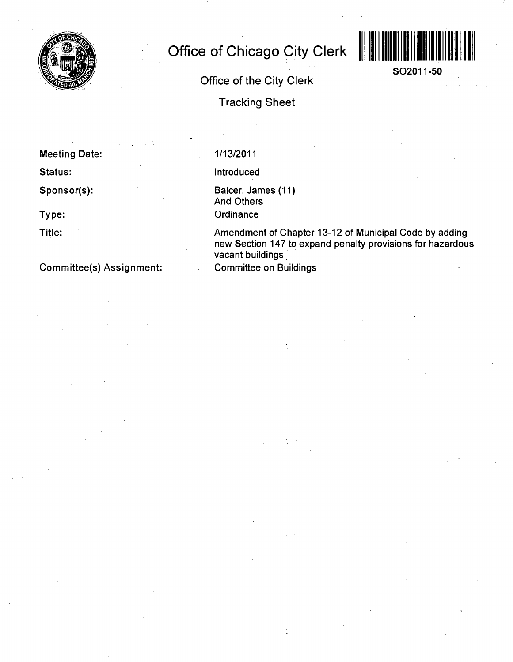

# **Office of Chicago City Clerk**



**SO2011-50** 

Office of the City Clerk

Tracking Sheet

**Meeting Date:** 

**Status:** 

**Sponsor(s):** 

**Type:** 

**Title:** 

## **Committee(s) Assignment:**

### 1/13/2011

Introduced

Balcer, James (11) And Others **Ordinance** 

Amendment of Chapter 13-12 of Municipal Code by adding new Section 147 to expand penalty provisions for hazardous vacant buildings

Committee on Buildings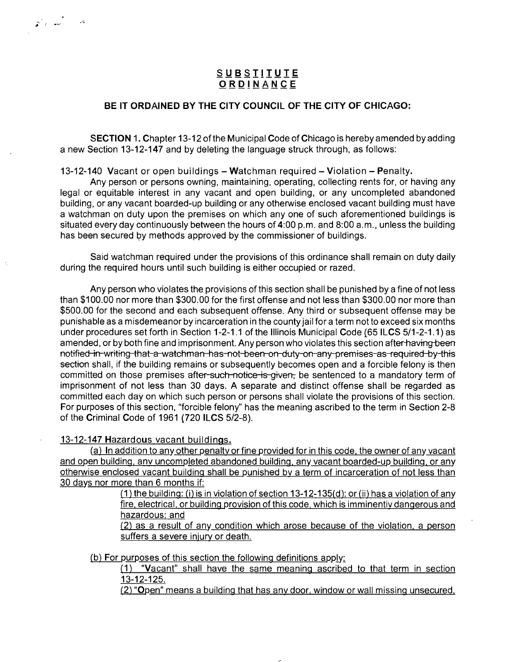### **S U B SlilUI E ORDINANC E**

#### **BE IT ORDAINED BY THE CITY COUNCIL OF THE CITY OF CHICAGO:**

SECTION 1. Chapter 13-12 of the Municipal Code of Chicago is hereby amended by adding a new Section 13-12-147 and by deleting the language struck through, as follows:

13-12-140 Vacant or open buildings - Watchman required - Violation - Penalty.

Any person or persons owning, maintaining, operating, collecting rents for, or having any legal or equitable interest in any vacant and open building, or any uncompleted abandoned building, or any vacant boarded-up building or any otherwise enclosed vacant building must have a watchman on duty upon the premises on which any one of such aforementioned buildings is situated every day continuously between the hours of 4:00 p.m. and 8:00 a.m., unless the building has been secured by methods approved by the commissioner of buildings.

Said watchman required under the provisions of this ordinance shall remain on duty daily during the required hours until such building is either occupied or razed.

Any person who violates the provisions of this section shall be punished by a fine of not less than \$100.00 nor more than \$300.00 for the first offense and not less than \$300.00 nor more than \$500.00 for the second and each subsequent offense. Any third or subsequent offense may be punishable as a misdemeanor by incarceration in the county jail for a term not to exceed six months under procedures set forth in Section 1-2-1.1 of the Illinois Municipal Code (65 ILCS 5/1-2-1.1) as amended, or by both fine and imprisonment. Any person who violates this section after having been notified in writing that a watchman has not been on duty on any premises as required by this section shall, if the building remains or subsequently becomes open and a forcible felony is then committed on those premises after-such-notice-is-given, be sentenced to a mandatory term of imprisonment of not less than 30 days. A separate and distinct offense shall be regarded as committed each day on which such person or persons shall violate the provisions of this section. For purposes of this section, "forcible felony" has the meaning ascribed to the term in Section 2-8 of the Criminal Code of 1961 (720 ILCS 5/2-8).

**13-12-147 Hazardous vacant buildings.** 

المنتقلة الأمر<br>المنتقلة الأمر

(a) In addition to any other penaltv or fine provided for in this code, the owner of any vacant and open building, anv uncompleted abandoned building, any vacant boarded-up building, or any otherwise enclosed vacant building shall be punished bv a term of incarceration of not less than 30 days nor more than 6 months if:

> (1) the building: (i) is in violation of section  $13-12-135(d)$ ; or (ii) has a violation of any fire, electrical, or building provision of this code, which is imminentiv dangerous and hazardous: and

> (2) as a result of any condition which arose because of the violation, a person suffers a severe injury or death.

(b) For purposes of this section the following definitions apply:

(1) "Vacant" shall have the same meaning ascribed to that term in section 13-12-125.

(2) "Open" means a building that has anv door, window or wall missing unsecured,